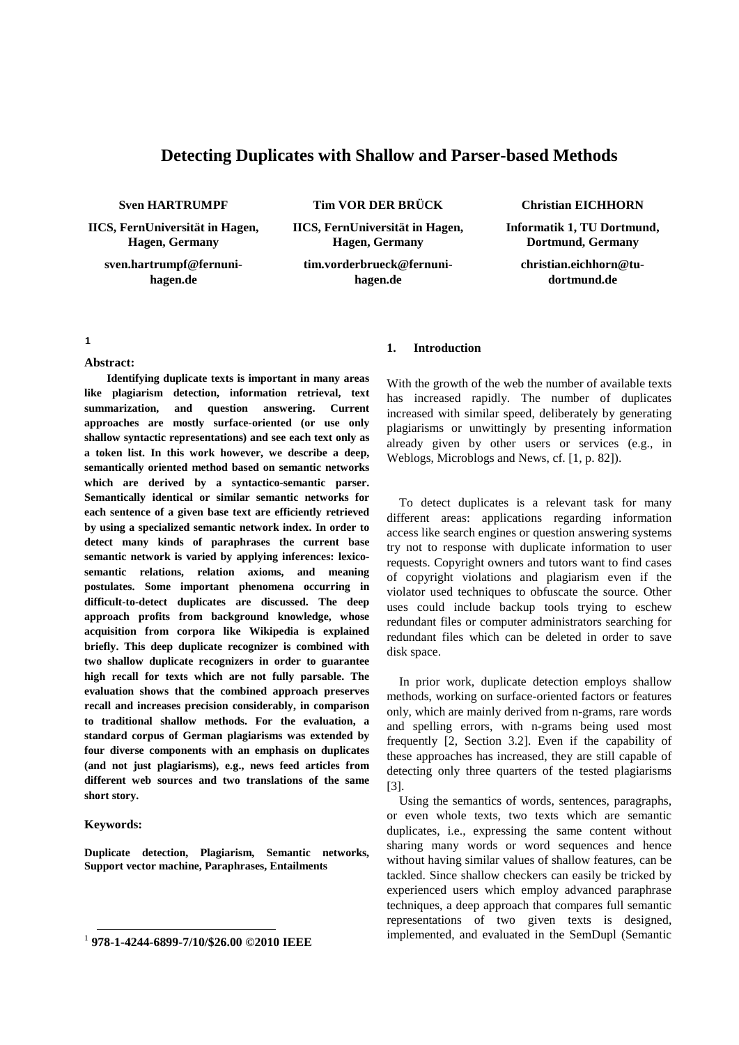# **Detecting Duplicates with Shallow and Parser-based Methods**

**Sven HARTRUMPF**

**IICS, FernUniversität in Hagen, Hagen, Germany**

**sven.hartrumpf@fernunihagen.de**

**Tim VOR DER BRÜCK**

**IICS, FernUniversität in Hagen, Hagen, Germany**

**tim.vorderbrueck@fernunihagen.de**

#### **Christian EICHHORN**

**Informatik 1, TU Dortmund, Dortmund, Germany**

**christian.eichhorn@tudortmund.de**

#### **[1](#page-0-0)**

#### **Abstract:**

**Identifying duplicate texts is important in many areas like plagiarism detection, information retrieval, text summarization, and question answering. Current approaches are mostly surface-oriented (or use only shallow syntactic representations) and see each text only as a token list. In this work however, we describe a deep, semantically oriented method based on semantic networks which are derived by a syntactico-semantic parser. Semantically identical or similar semantic networks for each sentence of a given base text are efficiently retrieved by using a specialized semantic network index. In order to detect many kinds of paraphrases the current base semantic network is varied by applying inferences: lexicosemantic relations, relation axioms, and meaning postulates. Some important phenomena occurring in difficult-to-detect duplicates are discussed. The deep approach profits from background knowledge, whose acquisition from corpora like Wikipedia is explained briefly. This deep duplicate recognizer is combined with two shallow duplicate recognizers in order to guarantee high recall for texts which are not fully parsable. The evaluation shows that the combined approach preserves recall and increases precision considerably, in comparison to traditional shallow methods. For the evaluation, a standard corpus of German plagiarisms was extended by four diverse components with an emphasis on duplicates (and not just plagiarisms), e.g., news feed articles from different web sources and two translations of the same short story.**

#### **Keywords:**

**Duplicate detection, Plagiarism, Semantic networks, Support vector machine, Paraphrases, Entailments**

#### **1. Introduction**

With the growth of the web the number of available texts has increased rapidly. The number of duplicates increased with similar speed, deliberately by generating plagiarisms or unwittingly by presenting information already given by other users or services (e.g., in Weblogs, Microblogs and News, cf. [1, p. 82]).

To detect duplicates is a relevant task for many different areas: applications regarding information access like search engines or question answering systems try not to response with duplicate information to user requests. Copyright owners and tutors want to find cases of copyright violations and plagiarism even if the violator used techniques to obfuscate the source. Other uses could include backup tools trying to eschew redundant files or computer administrators searching for redundant files which can be deleted in order to save disk space.

In prior work, duplicate detection employs shallow methods, working on surface-oriented factors or features only, which are mainly derived from n-grams, rare words and spelling errors, with n-grams being used most frequently [2, Section 3.2]. Even if the capability of these approaches has increased, they are still capable of detecting only three quarters of the tested plagiarisms [3].

Using the semantics of words, sentences, paragraphs, or even whole texts, two texts which are semantic duplicates, i.e., expressing the same content without sharing many words or word sequences and hence without having similar values of shallow features, can be tackled. Since shallow checkers can easily be tricked by experienced users which employ advanced paraphrase techniques, a deep approach that compares full semantic representations of two given texts is designed, implemented, and evaluated in the SemDupl (Semantic

<span id="page-0-0"></span> <sup>1</sup> **978-1-4244-6899-7/10/\$26.00 ©2010 IEEE**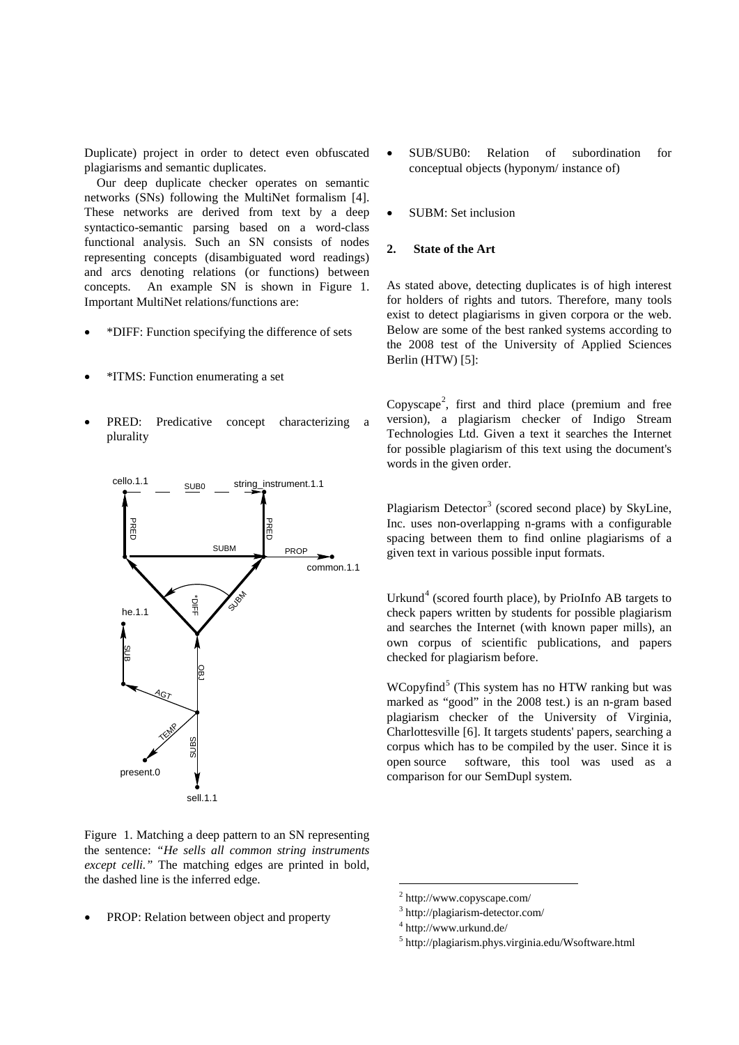Duplicate) project in order to detect even obfuscated plagiarisms and semantic duplicates.

Our deep duplicate checker operates on semantic networks (SNs) following the MultiNet formalism [4]. These networks are derived from text by a deep syntactico-semantic parsing based on a word-class functional analysis. Such an SN consists of nodes representing concepts (disambiguated word readings) and arcs denoting relations (or functions) between concepts. An example SN is shown in Figure 1. Important MultiNet relations/functions are:

- \*DIFF: Function specifying the difference of sets
- \*ITMS: Function enumerating a set
- PRED: Predicative concept characterizing a plurality



Figure 1. Matching a deep pattern to an SN representing the sentence: *"He sells all common string instruments except celli."* The matching edges are printed in bold, the dashed line is the inferred edge.

<span id="page-1-3"></span><span id="page-1-2"></span><span id="page-1-1"></span><span id="page-1-0"></span>• PROP: Relation between object and property

- SUB/SUB0: Relation of subordination for conceptual objects (hyponym/ instance of)
- SUBM: Set inclusion

## **2. State of the Art**

As stated above, detecting duplicates is of high interest for holders of rights and tutors. Therefore, many tools exist to detect plagiarisms in given corpora or the web. Below are some of the best ranked systems according to the 2008 test of the University of Applied Sciences Berlin (HTW) [5]:

Copyscape<sup>[2](#page-1-0)</sup>, first and third place (premium and free version), a plagiarism checker of Indigo Stream Technologies Ltd. Given a text it searches the Internet for possible plagiarism of this text using the document's words in the given order.

Plagiarism Detector<sup>[3](#page-1-1)</sup> (scored second place) by SkyLine, Inc. uses non-overlapping n-grams with a configurable spacing between them to find online plagiarisms of a given text in various possible input formats.

Urkund [4](#page-1-2) (scored fourth place), by PrioInfo AB targets to check papers written by students for possible plagiarism and searches the Internet (with known paper mills), an own corpus of scientific publications, and papers checked for plagiarism before.

WCopyfind [5](#page-1-3) (This system has no HTW ranking but was marked as "good" in the 2008 test.) is an n-gram based plagiarism checker of the University of Virginia, Charlottesville [6]. It targets students' papers, searching a corpus which has to be compiled by the user. Since it is open source software, this tool was used as a comparison for our SemDupl system.

 <sup>2</sup> http://www.copyscape.com/

<sup>3</sup> http://plagiarism-detector.com/

<sup>4</sup> http://www.urkund.de/

<sup>5</sup> http://plagiarism.phys.virginia.edu/Wsoftware.html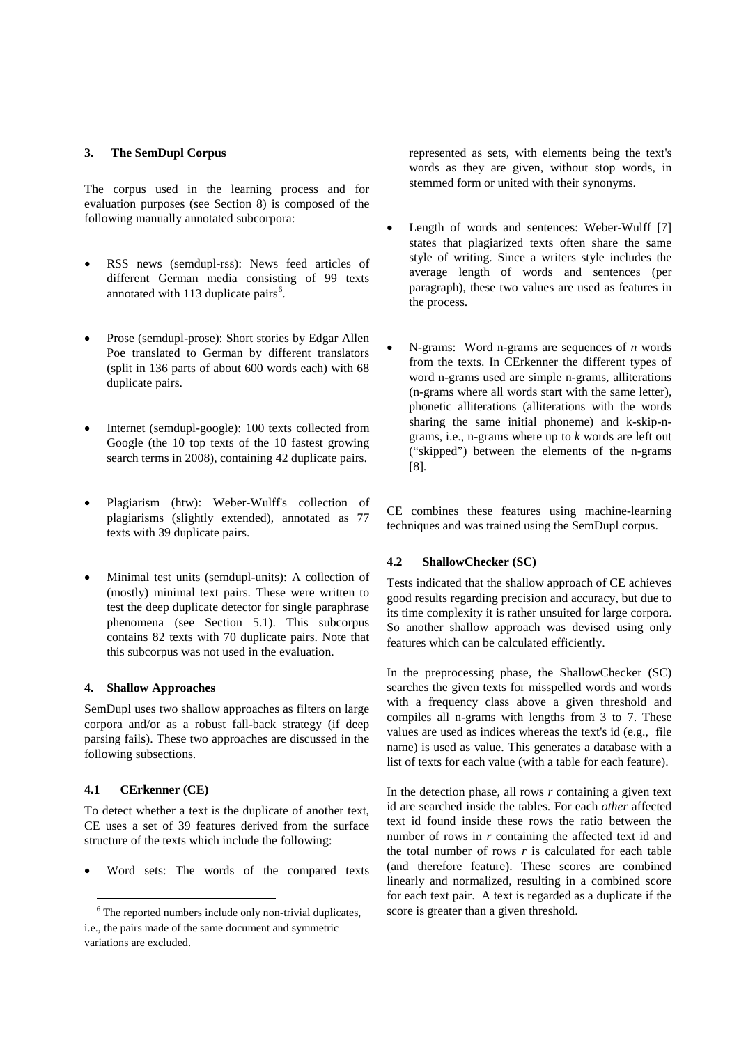### **3. The SemDupl Corpus**

The corpus used in the learning process and for evaluation purposes (see Section [8\)](#page-6-0) is composed of the following manually annotated subcorpora:

- RSS news (semdupl-rss): News feed articles of different German media consisting of 99 texts annotated with 113 duplicate pairs $<sup>6</sup>$  $<sup>6</sup>$  $<sup>6</sup>$ .</sup>
- Prose (semdupl-prose): Short stories by Edgar Allen Poe translated to German by different translators (split in 136 parts of about 600 words each) with 68 duplicate pairs.
- Internet (semdupl-google): 100 texts collected from Google (the 10 top texts of the 10 fastest growing search terms in 2008), containing 42 duplicate pairs.
- Plagiarism (htw): Weber-Wulff's collection of plagiarisms (slightly extended), annotated as 77 texts with 39 duplicate pairs.
- Minimal test units (semdupl-units): A collection of (mostly) minimal text pairs. These were written to test the deep duplicate detector for single paraphrase phenomena (see Section [5.1\)](#page-3-0). This subcorpus contains 82 texts with 70 duplicate pairs. Note that this subcorpus was not used in the evaluation.

### **4. Shallow Approaches**

SemDupl uses two shallow approaches as filters on large corpora and/or as a robust fall-back strategy (if deep parsing fails). These two approaches are discussed in the following subsections.

### **4.1 CErkenner (CE)**

To detect whether a text is the duplicate of another text, CE uses a set of 39 features derived from the surface structure of the texts which include the following:

• Word sets: The words of the compared texts

represented as sets, with elements being the text's words as they are given, without stop words, in stemmed form or united with their synonyms.

- Length of words and sentences: Weber-Wulff [7] states that plagiarized texts often share the same style of writing. Since a writers style includes the average length of words and sentences (per paragraph), these two values are used as features in the process.
- N-grams: Word n-grams are sequences of *n* words from the texts. In CErkenner the different types of word n-grams used are simple n-grams, alliterations (n-grams where all words start with the same letter), phonetic alliterations (alliterations with the words sharing the same initial phoneme) and k-skip-ngrams, i.e., n-grams where up to *k* words are left out ("skipped") between the elements of the n-grams [8]*.*

CE combines these features using machine-learning techniques and was trained using the SemDupl corpus.

## **4.2 ShallowChecker (SC)**

Tests indicated that the shallow approach of CE achieves good results regarding precision and accuracy, but due to its time complexity it is rather unsuited for large corpora. So another shallow approach was devised using only features which can be calculated efficiently.

In the preprocessing phase, the ShallowChecker (SC) searches the given texts for misspelled words and words with a frequency class above a given threshold and compiles all n-grams with lengths from 3 to 7. These values are used as indices whereas the text's id (e.g., file name) is used as value. This generates a database with a list of texts for each value (with a table for each feature).

In the detection phase, all rows *r* containing a given text id are searched inside the tables. For each *other* affected text id found inside these rows the ratio between the number of rows in *r* containing the affected text id and the total number of rows  $r$  is calculated for each table (and therefore feature). These scores are combined linearly and normalized, resulting in a combined score for each text pair. A text is regarded as a duplicate if the score is greater than a given threshold.

<span id="page-2-0"></span> <sup>6</sup> The reported numbers include only non-trivial duplicates, i.e., the pairs made of the same document and symmetric variations are excluded.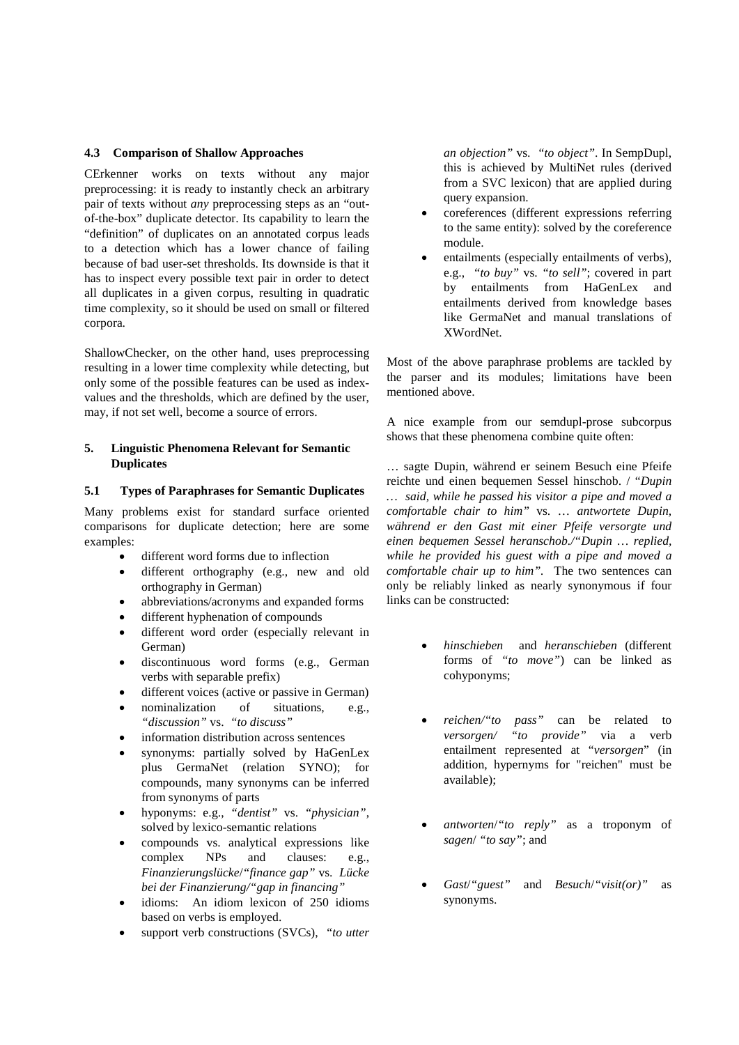### **4.3 Comparison of Shallow Approaches**

CErkenner works on texts without any major preprocessing: it is ready to instantly check an arbitrary pair of texts without *any* preprocessing steps as an "outof-the-box" duplicate detector. Its capability to learn the "definition" of duplicates on an annotated corpus leads to a detection which has a lower chance of failing because of bad user-set thresholds. Its downside is that it has to inspect every possible text pair in order to detect all duplicates in a given corpus, resulting in quadratic time complexity, so it should be used on small or filtered corpora.

ShallowChecker, on the other hand, uses preprocessing resulting in a lower time complexity while detecting, but only some of the possible features can be used as indexvalues and the thresholds, which are defined by the user, may, if not set well, become a source of errors.

### **5. Linguistic Phenomena Relevant for Semantic Duplicates**

#### <span id="page-3-0"></span>**5.1 Types of Paraphrases for Semantic Duplicates**

Many problems exist for standard surface oriented comparisons for duplicate detection; here are some examples:

- different word forms due to inflection
- different orthography (e.g., new and old orthography in German)
- abbreviations/acronyms and expanded forms
- different hyphenation of compounds
- different word order (especially relevant in German)
- discontinuous word forms (e.g., German verbs with separable prefix)
- different voices (active or passive in German)
- nominalization of situations, e.g., *"discussion"* vs. *"to discuss"*
- information distribution across sentences
- synonyms: partially solved by HaGenLex plus GermaNet (relation SYNO); for compounds, many synonyms can be inferred from synonyms of parts
- hyponyms: e.g., *"dentist"* vs. *"physician"*, solved by lexico-semantic relations
- compounds vs. analytical expressions like complex NPs and clauses: e.g., *Finanzierungslücke*/*"finance gap"* vs. *Lücke bei der Finanzierung/"gap in financing"*
- idioms: An idiom lexicon of 250 idioms based on verbs is employed.
- support verb constructions (SVCs), "to utter

*an objection"* vs. *"to object"*. In SempDupl, this is achieved by MultiNet rules (derived from a SVC lexicon) that are applied during query expansion.

- coreferences (different expressions referring to the same entity): solved by the coreference module.
- entailments (especially entailments of verbs). e.g., *"to buy"* vs. *"to sell"*; covered in part by entailments from HaGenLex and entailments derived from knowledge bases like GermaNet and manual translations of XWordNet.

Most of the above paraphrase problems are tackled by the parser and its modules; limitations have been mentioned above.

A nice example from our semdupl-prose subcorpus shows that these phenomena combine quite often:

… sagte Dupin, während er seinem Besuch eine Pfeife reichte und einen bequemen Sessel hinschob. / "*Dupin … said, while he passed his visitor a pipe and moved a comfortable chair to him"* vs. … *antwortete Dupin, während er den Gast mit einer Pfeife versorgte und einen bequemen Sessel heranschob./"Dupin … replied, while he provided his guest with a pipe and moved a comfortable chair up to him".* The two sentences can only be reliably linked as nearly synonymous if four links can be constructed:

- *hinschieben* and *heranschieben* (different forms of *"to move"*) can be linked as cohyponyms;
- *reichen/"to pass"* can be related to *versorgen/ "to provide"* via a verb entailment represented at "*versorgen*" (in addition, hypernyms for "reichen" must be available);
- *antworten*/*"to reply"* as a troponym of *sagen*/ *"to say"*; and
- *Gast*/*"guest"* and *Besuch*/*"visit(or)"* as synonyms.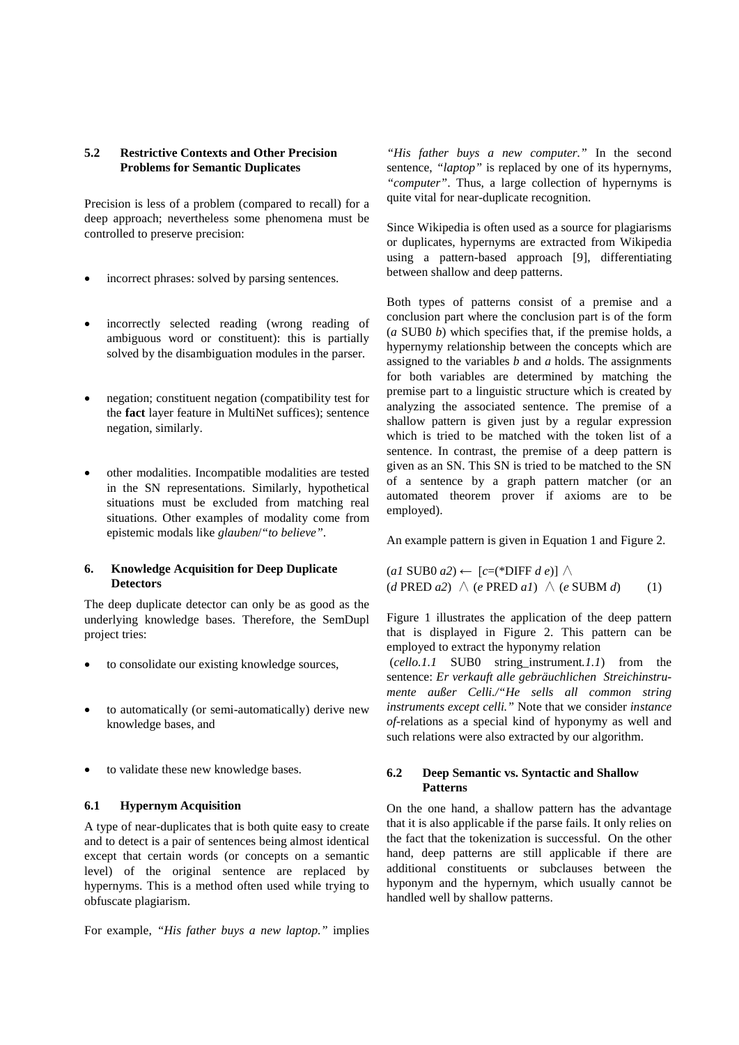## <span id="page-4-0"></span>**5.2 Restrictive Contexts and Other Precision Problems for Semantic Duplicates**

Precision is less of a problem (compared to recall) for a deep approach; nevertheless some phenomena must be controlled to preserve precision:

- incorrect phrases: solved by parsing sentences.
- incorrectly selected reading (wrong reading of ambiguous word or constituent): this is partially solved by the disambiguation modules in the parser.
- negation; constituent negation (compatibility test for the **fact** layer feature in MultiNet suffices); sentence negation, similarly.
- other modalities. Incompatible modalities are tested in the SN representations. Similarly, hypothetical situations must be excluded from matching real situations. Other examples of modality come from epistemic modals like *glauben*/*"to believe"*.

## **6. Knowledge Acquisition for Deep Duplicate Detectors**

The deep duplicate detector can only be as good as the underlying knowledge bases. Therefore, the SemDupl project tries:

- to consolidate our existing knowledge sources,
- to automatically (or semi-automatically) derive new knowledge bases, and
- to validate these new knowledge bases.

## **6.1 Hypernym Acquisition**

A type of near-duplicates that is both quite easy to create and to detect is a pair of sentences being almost identical except that certain words (or concepts on a semantic level) of the original sentence are replaced by hypernyms. This is a method often used while trying to obfuscate plagiarism.

For example, *"His father buys a new laptop."* implies

*"His father buys a new computer."* In the second sentence, *"laptop"* is replaced by one of its hypernyms, *"computer"*. Thus, a large collection of hypernyms is quite vital for near-duplicate recognition.

Since Wikipedia is often used as a source for plagiarisms or duplicates, hypernyms are extracted from Wikipedia using a pattern-based approach [9], differentiating between shallow and deep patterns.

Both types of patterns consist of a premise and a conclusion part where the conclusion part is of the form (*a* SUB0 *b*) which specifies that, if the premise holds, a hypernymy relationship between the concepts which are assigned to the variables *b* and *a* holds. The assignments for both variables are determined by matching the premise part to a linguistic structure which is created by analyzing the associated sentence. The premise of a shallow pattern is given just by a regular expression which is tried to be matched with the token list of a sentence. In contrast, the premise of a deep pattern is given as an SN. This SN is tried to be matched to the SN of a sentence by a graph pattern matcher (or an automated theorem prover if axioms are to be employed).

An example pattern is given in Equation 1 and Figure 2.

(*a1* SUB0 *a2*) ← [*c*=(\*DIFF *d e*)] ∧  $(d$  PRED  $a2) \wedge (e$  PRED  $a1) \wedge (e$  SUBM  $d)$  (1)

Figure 1 illustrates the application of the deep pattern that is displayed in Figure 2. This pattern can be employed to extract the hyponymy relation

(*cello.1.1* SUB0 string\_instrument*.1.1*) from the sentence: *Er verkauft alle gebräuchlichen Streichinstrumente außer Celli./"He sells all common string instruments except celli."* Note that we consider *instance of-*relations as a special kind of hyponymy as well and such relations were also extracted by our algorithm.

## **6.2 Deep Semantic vs. Syntactic and Shallow Patterns**

On the one hand, a shallow pattern has the advantage that it is also applicable if the parse fails. It only relies on the fact that the tokenization is successful. On the other hand, deep patterns are still applicable if there are additional constituents or subclauses between the hyponym and the hypernym, which usually cannot be handled well by shallow patterns.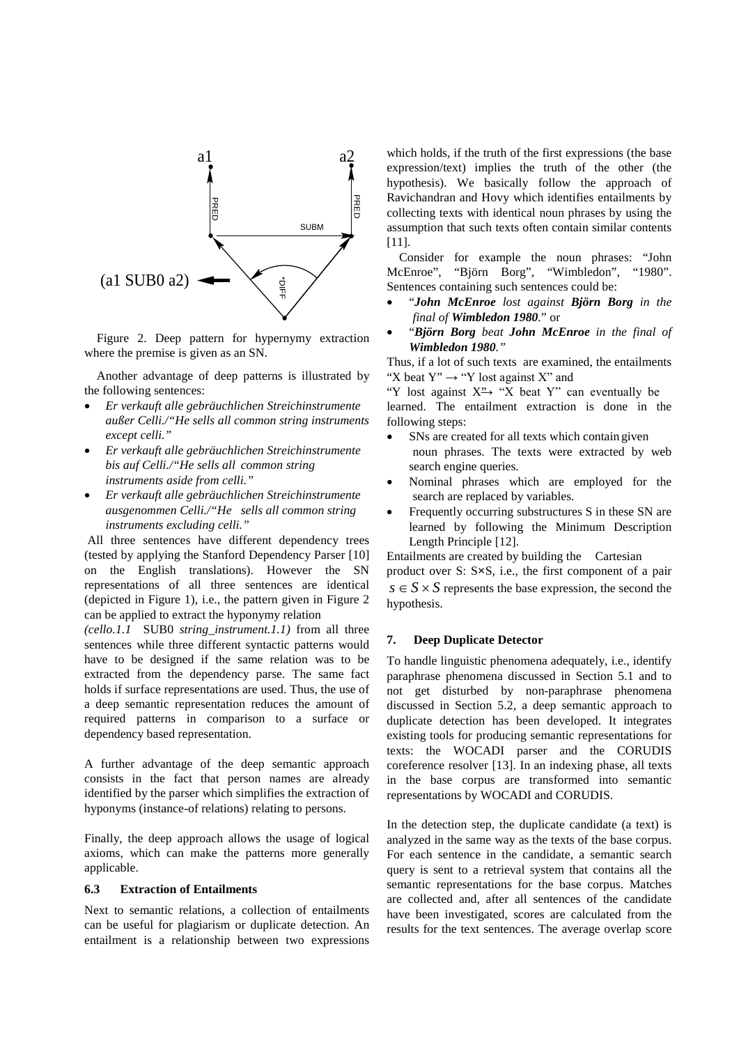

Figure 2. Deep pattern for hypernymy extraction where the premise is given as an SN.

Another advantage of deep patterns is illustrated by the following sentences:

- *Er verkauft alle gebräuchlichen Streichinstrumente außer Celli./"He sells all common string instruments except celli."*
- *Er verkauft alle gebräuchlichen Streichinstrumente bis auf Celli./"He sells all common string instruments aside from celli."*
- *Er verkauft alle gebräuchlichen Streichinstrumente ausgenommen Celli./"He sells all common string instruments excluding celli."*

All three sentences have different dependency trees (tested by applying the Stanford Dependency Parser [10] on the English translations). However the SN representations of all three sentences are identical (depicted in Figure 1), i.e., the pattern given in Figure 2 can be applied to extract the hyponymy relation

*(cello.1.1* SUB0 *string\_instrument.1.1)* from all three sentences while three different syntactic patterns would have to be designed if the same relation was to be extracted from the dependency parse. The same fact holds if surface representations are used. Thus, the use of a deep semantic representation reduces the amount of required patterns in comparison to a surface or dependency based representation.

A further advantage of the deep semantic approach consists in the fact that person names are already identified by the parser which simplifies the extraction of hyponyms (instance-of relations) relating to persons.

Finally, the deep approach allows the usage of logical axioms, which can make the patterns more generally applicable.

## **6.3 Extraction of Entailments**

Next to semantic relations, a collection of entailments can be useful for plagiarism or duplicate detection. An entailment is a relationship between two expressions which holds, if the truth of the first expressions (the base expression/text) implies the truth of the other (the hypothesis). We basically follow the approach of Ravichandran and Hovy which identifies entailments by collecting texts with identical noun phrases by using the assumption that such texts often contain similar contents [11].

Consider for example the noun phrases: "John McEnroe", "Björn Borg", "Wimbledon", "1980". Sentences containing such sentences could be:

- "*John McEnroe lost against Björn Borg in the final of Wimbledon 1980.*" or
- "*Björn Borg beat John McEnroe in the final of Wimbledon 1980."*

Thus, if a lot of such texts are examined, the entailments "X beat  $Y'' \rightarrow "Y$  lost against X" and

"Y lost against  $X \rightarrow "X$  beat Y" can eventually be learned. The entailment extraction is done in the following steps:

- SNs are created for all texts which contain given noun phrases. The texts were extracted by web search engine queries.
- Nominal phrases which are employed for the search are replaced by variables.
- Frequently occurring substructures S in these SN are learned by following the Minimum Description Length Principle [12].

Entailments are created by building the Cartesian product over S: S×S, i.e., the first component of a pair  $s \in S \times S$  represents the base expression, the second the hypothesis.

#### **7. Deep Duplicate Detector**

To handle linguistic phenomena adequately, i.e., identify paraphrase phenomena discussed in Section [5.1](#page-3-0) and to not get disturbed by non-paraphrase phenomena discussed in Section [5.2,](#page-4-0) a deep semantic approach to duplicate detection has been developed. It integrates existing tools for producing semantic representations for texts: the WOCADI parser and the CORUDIS coreference resolver [13]. In an indexing phase, all texts in the base corpus are transformed into semantic representations by WOCADI and CORUDIS.

In the detection step, the duplicate candidate (a text) is analyzed in the same way as the texts of the base corpus. For each sentence in the candidate, a semantic search query is sent to a retrieval system that contains all the semantic representations for the base corpus. Matches are collected and, after all sentences of the candidate have been investigated, scores are calculated from the results for the text sentences. The average overlap score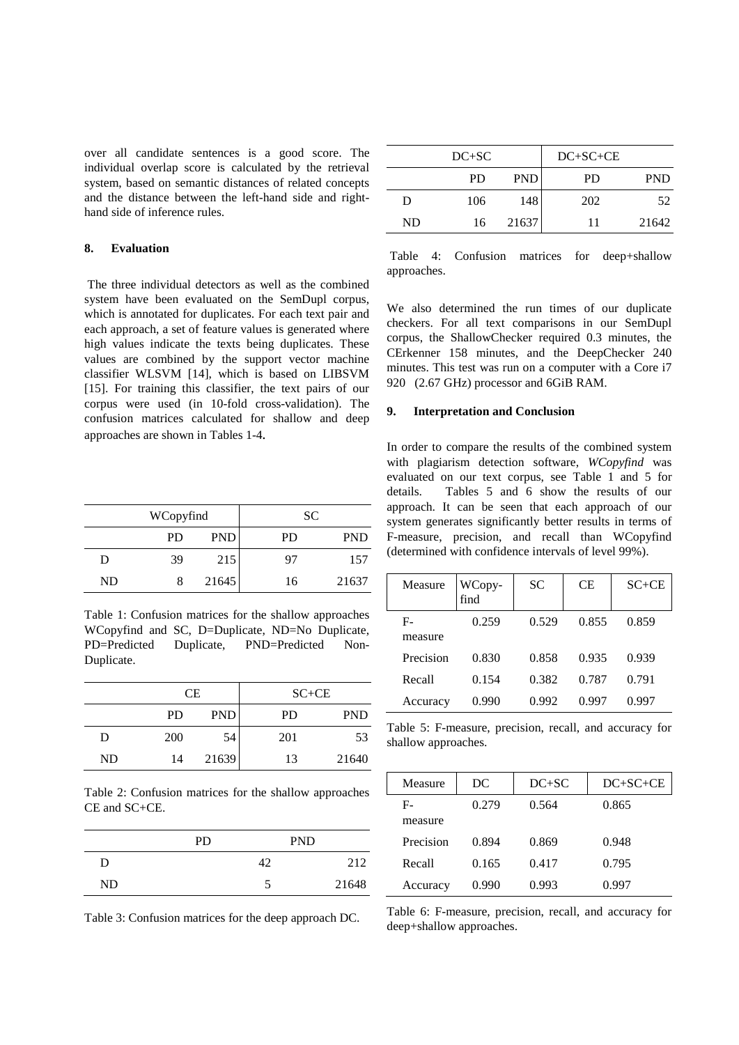over all candidate sentences is a good score. The individual overlap score is calculated by the retrieval system, based on semantic distances of related concepts and the distance between the left-hand side and righthand side of inference rules.

## <span id="page-6-0"></span>**8. Evaluation**

The three individual detectors as well as the combined system have been evaluated on the SemDupl corpus, which is annotated for duplicates. For each text pair and each approach, a set of feature values is generated where high values indicate the texts being duplicates. These values are combined by the support vector machine classifier WLSVM [14], which is based on LIBSVM [15]. For training this classifier, the text pairs of our corpus were used (in 10-fold cross-validation). The confusion matrices calculated for shallow and deep approaches are shown in Tables 1-4*.*

|    | WCopyfind |            |           | SC         |
|----|-----------|------------|-----------|------------|
|    | <b>PD</b> | <b>PND</b> | <b>PD</b> | <b>PND</b> |
| Ð  | 39        | 215        | 97        | 157        |
| ND |           | 21645      | 16        | 21637      |

Table 1: Confusion matrices for the shallow approaches WCopyfind and SC, D=Duplicate, ND=No Duplicate, PD=Predicted Duplicate, PND=Predicted Non-Duplicate.

|           | СE         |            |           | $SC+CE$    |
|-----------|------------|------------|-----------|------------|
|           | <b>PD</b>  | <b>PND</b> | <b>PD</b> | <b>PND</b> |
| D         | <b>200</b> | 54         | 201       | 53         |
| <b>ND</b> | 14         | 21639      | 13        | 21640      |

Table 2: Confusion matrices for the shallow approaches CE and SC+CE.

|    | <b>PD</b> |    | <b>PND</b> |
|----|-----------|----|------------|
| D  |           | 42 | 212        |
| ND |           |    | 21648      |

Table 3: Confusion matrices for the deep approach DC.

|    | $DC+SC$   |            | $DC+SC+CE$ |            |
|----|-----------|------------|------------|------------|
|    | <b>PD</b> | <b>PND</b> | PD.        | <b>PND</b> |
| D  | 106       | 148        | 202        | 52         |
| ND | 16        | 21637      | 11         | 21642      |

Table 4: Confusion matrices for deep+shallow approaches.

We also determined the run times of our duplicate checkers. For all text comparisons in our SemDupl corpus, the ShallowChecker required 0.3 minutes, the CErkenner 158 minutes, and the DeepChecker 240 minutes. This test was run on a computer with a Core i7 920 (2.67 GHz) processor and 6GiB RAM.

#### **9. Interpretation and Conclusion**

In order to compare the results of the combined system with plagiarism detection software, *WCopyfind* was evaluated on our text corpus, see Table 1 and 5 for details. Tables 5 and 6 show the results of our approach. It can be seen that each approach of our system generates significantly better results in terms of F-measure, precision, and recall than WCopyfind (determined with confidence intervals of level 99%).

| Measure       | WCopy-<br>find | <b>SC</b> | CЕ    | $SC+CE$ |
|---------------|----------------|-----------|-------|---------|
| F-<br>measure | 0.259          | 0.529     | 0.855 | 0.859   |
| Precision     | 0.830          | 0.858     | 0.935 | 0.939   |
| Recall        | 0.154          | 0.382     | 0.787 | 0.791   |
| Accuracy      | 0.990          | 0.992     | 0.997 | 0.997   |

Table 5: F-measure, precision, recall, and accuracy for shallow approaches.

| Measure   | DC    | $DC+SC$ | $DC+SC+CE$ |
|-----------|-------|---------|------------|
| F-        | 0.279 | 0.564   | 0.865      |
| measure   |       |         |            |
| Precision | 0.894 | 0.869   | 0.948      |
| Recall    | 0.165 | 0.417   | 0.795      |
| Accuracy  | 0.990 | 0.993   | 0.997      |

Table 6: F-measure, precision, recall, and accuracy for deep+shallow approaches.